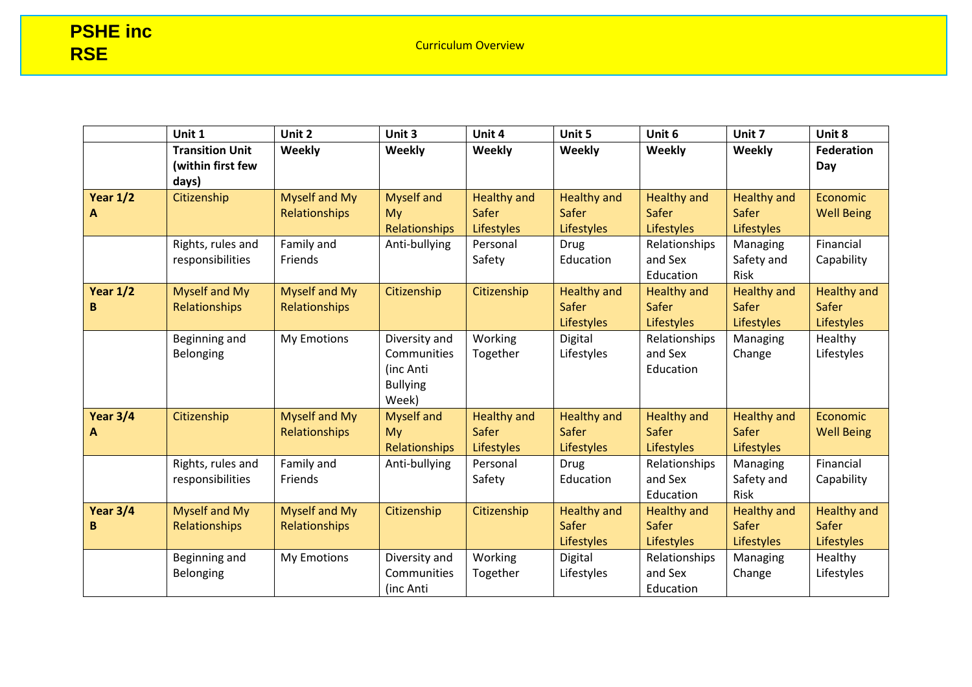|                 | Unit 1                                               | Unit 2                                | Unit 3                                                                | Unit 4                                    | Unit 5                                           | Unit 6                                                  | Unit 7                                                  | Unit 8                                           |
|-----------------|------------------------------------------------------|---------------------------------------|-----------------------------------------------------------------------|-------------------------------------------|--------------------------------------------------|---------------------------------------------------------|---------------------------------------------------------|--------------------------------------------------|
|                 | <b>Transition Unit</b><br>(within first few<br>days) | Weekly                                | Weekly                                                                | Weekly                                    | Weekly                                           | Weekly                                                  | Weekly                                                  | <b>Federation</b><br>Day                         |
| Year $1/2$<br>A | Citizenship                                          | <b>Myself and My</b><br>Relationships | <b>Myself and</b><br>My<br>Relationships                              | <b>Healthy and</b><br>Safer<br>Lifestyles | <b>Healthy and</b><br>Safer<br><b>Lifestyles</b> | <b>Healthy and</b><br>Safer<br>Lifestyles               | <b>Healthy and</b><br><b>Safer</b><br><b>Lifestyles</b> | Economic<br><b>Well Being</b>                    |
|                 | Rights, rules and<br>responsibilities                | Family and<br>Friends                 | Anti-bullying                                                         | Personal<br>Safety                        | <b>Drug</b><br>Education                         | Relationships<br>and Sex<br>Education                   | Managing<br>Safety and<br>Risk                          | Financial<br>Capability                          |
| Year $1/2$<br>B | Myself and My<br>Relationships                       | Myself and My<br>Relationships        | Citizenship                                                           | Citizenship                               | <b>Healthy and</b><br>Safer<br><b>Lifestyles</b> | <b>Healthy and</b><br><b>Safer</b><br><b>Lifestyles</b> | <b>Healthy and</b><br><b>Safer</b><br><b>Lifestyles</b> | <b>Healthy and</b><br>Safer<br><b>Lifestyles</b> |
|                 | Beginning and<br>Belonging                           | My Emotions                           | Diversity and<br>Communities<br>(inc Anti<br><b>Bullying</b><br>Week) | Working<br>Together                       | Digital<br>Lifestyles                            | Relationships<br>and Sex<br>Education                   | Managing<br>Change                                      | Healthy<br>Lifestyles                            |
| Year $3/4$<br>A | Citizenship                                          | <b>Myself and My</b><br>Relationships | <b>Myself and</b><br>My<br>Relationships                              | <b>Healthy and</b><br>Safer<br>Lifestyles | <b>Healthy and</b><br>Safer<br>Lifestyles        | <b>Healthy and</b><br><b>Safer</b><br><b>Lifestyles</b> | <b>Healthy and</b><br><b>Safer</b><br><b>Lifestyles</b> | Economic<br><b>Well Being</b>                    |
|                 | Rights, rules and<br>responsibilities                | Family and<br>Friends                 | Anti-bullying                                                         | Personal<br>Safety                        | <b>Drug</b><br>Education                         | Relationships<br>and Sex<br>Education                   | Managing<br>Safety and<br>Risk                          | Financial<br>Capability                          |
| Year $3/4$<br>B | Myself and My<br>Relationships                       | <b>Myself and My</b><br>Relationships | Citizenship                                                           | Citizenship                               | <b>Healthy and</b><br>Safer<br><b>Lifestyles</b> | <b>Healthy and</b><br>Safer<br><b>Lifestyles</b>        | <b>Healthy and</b><br><b>Safer</b><br><b>Lifestyles</b> | <b>Healthy and</b><br>Safer<br>Lifestyles        |
|                 | Beginning and<br>Belonging                           | My Emotions                           | Diversity and<br>Communities<br>(inc Anti                             | Working<br>Together                       | Digital<br>Lifestyles                            | Relationships<br>and Sex<br>Education                   | Managing<br>Change                                      | Healthy<br>Lifestyles                            |